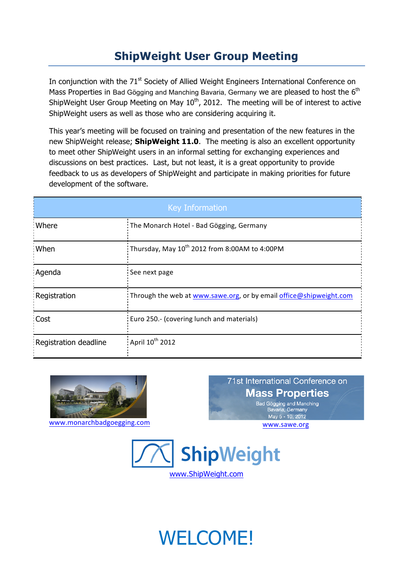## **ShipWeight User Group Meeting**

In conjunction with the 71<sup>st</sup> Society of Allied Weight Engineers International Conference on Mass Properties in Bad Gögging and Manching Bavaria, Germany we are pleased to host the  $6<sup>th</sup>$ ShipWeight User Group Meeting on May  $10<sup>th</sup>$ , 2012. The meeting will be of interest to active ShipWeight users as well as those who are considering acquiring it.

This year's meeting will be focused on training and presentation of the new features in the new ShipWeight release; **ShipWeight 11.0**. The meeting is also an excellent opportunity to meet other ShipWeight users in an informal setting for exchanging experiences and discussions on best practices. Last, but not least, it is a great opportunity to provide feedback to us as developers of ShipWeight and participate in making priorities for future development of the software.

| <b>Key Information</b> |                                                                    |
|------------------------|--------------------------------------------------------------------|
| Where                  | : The Monarch Hotel - Bad Gögging, Germany                         |
| When                   | Thursday, May $10^{th}$ 2012 from 8:00AM to 4:00PM                 |
| Agenda                 | See next page                                                      |
| Registration           | Through the web at www.sawe.org, or by email office@shipweight.com |
| Cost                   | Euro 250.- (covering lunch and materials)                          |
| Registration deadline  | April 10 <sup>th</sup> 2012                                        |



71st International Conference on **Mass Properties** Bad Gögging and Manching Bavaria, Germany



WELCOME!